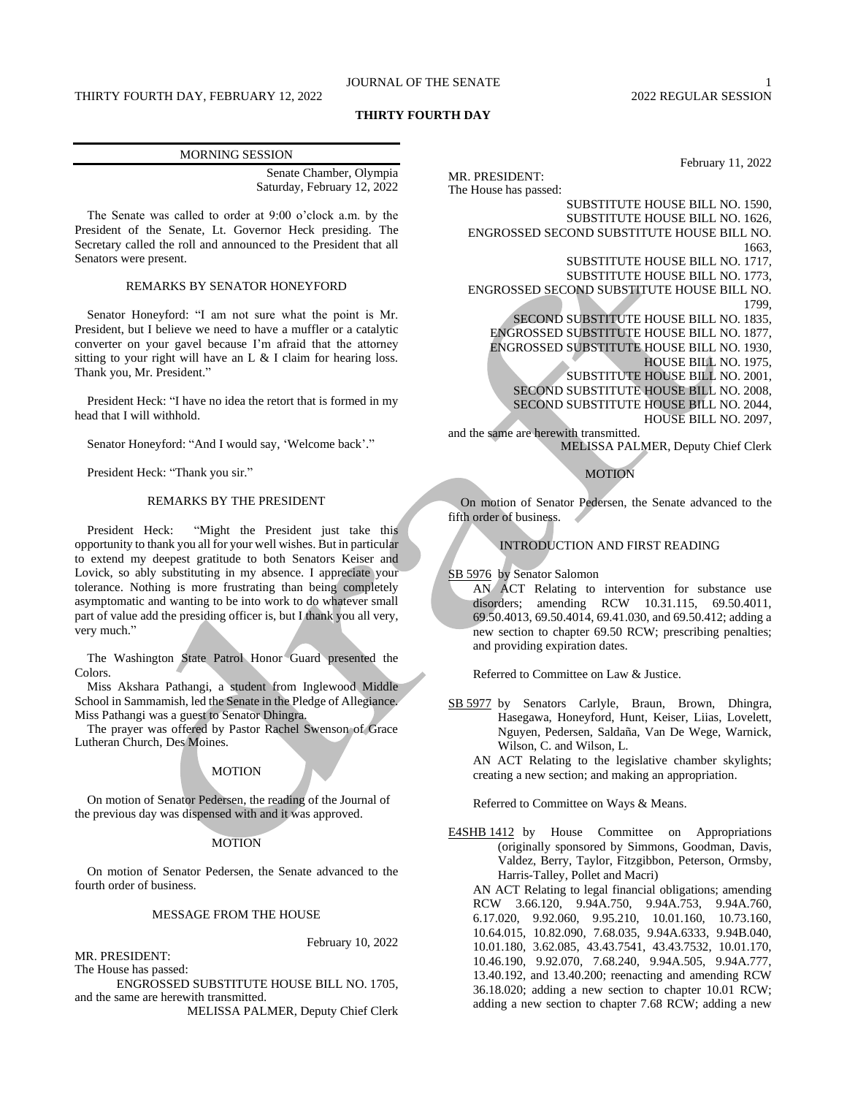# JOURNAL OF THE SENATE 1

# **THIRTY FOURTH DAY**

| <b>MORNING SESSION</b>      |
|-----------------------------|
| Senate Chamber, Olympia     |
| Saturday, February 12, 2022 |

The Senate was called to order at 9:00 o'clock a.m. by the President of the Senate, Lt. Governor Heck presiding. The Secretary called the roll and announced to the President that all Senators were present.

# REMARKS BY SENATOR HONEYFORD

Senator Honeyford: "I am not sure what the point is Mr. President, but I believe we need to have a muffler or a catalytic converter on your gavel because I'm afraid that the attorney sitting to your right will have an L & I claim for hearing loss. Thank you, Mr. President."

President Heck: "I have no idea the retort that is formed in my head that I will withhold.

Senator Honeyford: "And I would say, 'Welcome back'."

President Heck: "Thank you sir."

# REMARKS BY THE PRESIDENT

President Heck: "Might the President just take this opportunity to thank you all for your well wishes. But in particular to extend my deepest gratitude to both Senators Keiser and Lovick, so ably substituting in my absence. I appreciate your tolerance. Nothing is more frustrating than being completely asymptomatic and wanting to be into work to do whatever small part of value add the presiding officer is, but I thank you all very, very much."

The Washington State Patrol Honor Guard presented the Colors.

Miss Akshara Pathangi, a student from Inglewood Middle School in Sammamish, led the Senate in the Pledge of Allegiance. Miss Pathangi was a guest to Senator Dhingra.

The prayer was offered by Pastor Rachel Swenson of Grace Lutheran Church, Des Moines.

## **MOTION**

On motion of Senator Pedersen, the reading of the Journal of the previous day was dispensed with and it was approved.

## MOTION

On motion of Senator Pedersen, the Senate advanced to the fourth order of business.

## MESSAGE FROM THE HOUSE

February 10, 2022

MR. PRESIDENT: The House has passed:

ENGROSSED SUBSTITUTE HOUSE BILL NO. 1705, and the same are herewith transmitted.

MELISSA PALMER, Deputy Chief Clerk

February 11, 2022 MR. PRESIDENT: The House has passed: SUBSTITUTE HOUSE BILL NO. 1590, SUBSTITUTE HOUSE BILL NO. 1626, ENGROSSED SECOND SUBSTITUTE HOUSE BILL NO. 1663, SUBSTITUTE HOUSE BILL NO. 1717, SUBSTITUTE HOUSE BILL NO. 1773, ENGROSSED SECOND SUBSTITUTE HOUSE BILL NO. 1799, SECOND SUBSTITUTE HOUSE BILL NO. 1835, ENGROSSED SUBSTITUTE HOUSE BILL NO. 1877, ENGROSSED SUBSTITUTE HOUSE BILL NO. 1930, HOUSE BILL NO. 1975, SUBSTITUTE HOUSE BILL NO. 2001, SECOND SUBSTITUTE HOUSE BILL NO. 2008, SECOND SUBSTITUTE HOUSE BILL NO. 2044, HOUSE BILL NO. 2097, and the same are herewith transmitted. MELISSA PALMER, Deputy Chief Clerk

# **MOTION**

On motion of Senator Pedersen, the Senate advanced to the fifth order of business.

# INTRODUCTION AND FIRST READING

SB 5976 by Senator Salomon

AN ACT Relating to intervention for substance use disorders; amending RCW 10.31.115, 69.50.4011, 69.50.4013, 69.50.4014, 69.41.030, and 69.50.412; adding a new section to chapter 69.50 RCW; prescribing penalties; and providing expiration dates.

Referred to Committee on Law & Justice.

SB 5977 by Senators Carlyle, Braun, Brown, Dhingra, Hasegawa, Honeyford, Hunt, Keiser, Liias, Lovelett, Nguyen, Pedersen, Saldaña, Van De Wege, Warnick, Wilson, C. and Wilson, L.

AN ACT Relating to the legislative chamber skylights; creating a new section; and making an appropriation.

Referred to Committee on Ways & Means.

E4SHB 1412 by House Committee on Appropriations (originally sponsored by Simmons, Goodman, Davis, Valdez, Berry, Taylor, Fitzgibbon, Peterson, Ormsby, Harris-Talley, Pollet and Macri)

AN ACT Relating to legal financial obligations; amending RCW 3.66.120, 9.94A.750, 9.94A.753, 9.94A.760, 6.17.020, 9.92.060, 9.95.210, 10.01.160, 10.73.160, 10.64.015, 10.82.090, 7.68.035, 9.94A.6333, 9.94B.040, 10.01.180, 3.62.085, 43.43.7541, 43.43.7532, 10.01.170, 10.46.190, 9.92.070, 7.68.240, 9.94A.505, 9.94A.777, 13.40.192, and 13.40.200; reenacting and amending RCW 36.18.020; adding a new section to chapter 10.01 RCW; adding a new section to chapter 7.68 RCW; adding a new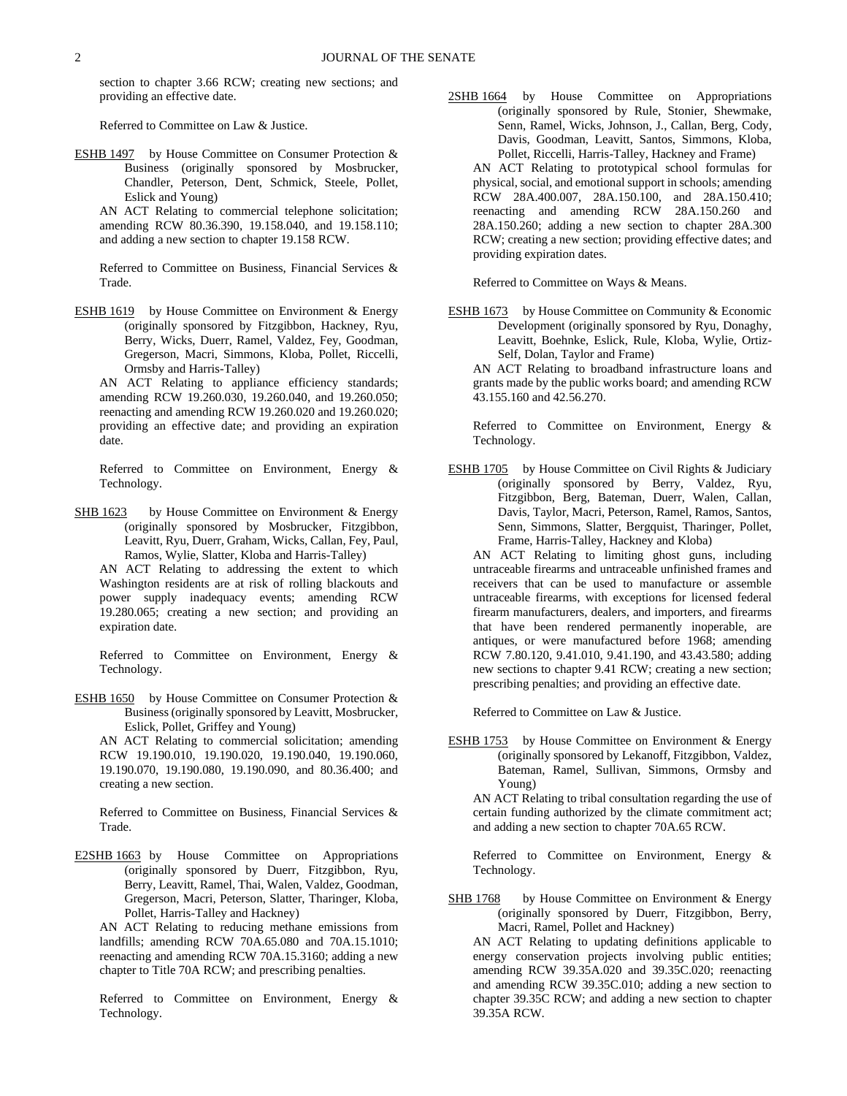section to chapter 3.66 RCW; creating new sections; and providing an effective date.

Referred to Committee on Law & Justice.

ESHB 1497 by House Committee on Consumer Protection & Business (originally sponsored by Mosbrucker, Chandler, Peterson, Dent, Schmick, Steele, Pollet, Eslick and Young)

AN ACT Relating to commercial telephone solicitation; amending RCW 80.36.390, 19.158.040, and 19.158.110; and adding a new section to chapter 19.158 RCW.

Referred to Committee on Business, Financial Services & Trade.

ESHB 1619 by House Committee on Environment & Energy (originally sponsored by Fitzgibbon, Hackney, Ryu, Berry, Wicks, Duerr, Ramel, Valdez, Fey, Goodman, Gregerson, Macri, Simmons, Kloba, Pollet, Riccelli, Ormsby and Harris-Talley)

AN ACT Relating to appliance efficiency standards; amending RCW 19.260.030, 19.260.040, and 19.260.050; reenacting and amending RCW 19.260.020 and 19.260.020; providing an effective date; and providing an expiration date.

Referred to Committee on Environment, Energy & Technology.

SHB 1623 by House Committee on Environment & Energy (originally sponsored by Mosbrucker, Fitzgibbon, Leavitt, Ryu, Duerr, Graham, Wicks, Callan, Fey, Paul, Ramos, Wylie, Slatter, Kloba and Harris-Talley)

AN ACT Relating to addressing the extent to which Washington residents are at risk of rolling blackouts and power supply inadequacy events; amending RCW 19.280.065; creating a new section; and providing an expiration date.

Referred to Committee on Environment, Energy & Technology.

ESHB 1650 by House Committee on Consumer Protection & Business (originally sponsored by Leavitt, Mosbrucker, Eslick, Pollet, Griffey and Young)

AN ACT Relating to commercial solicitation; amending RCW 19.190.010, 19.190.020, 19.190.040, 19.190.060, 19.190.070, 19.190.080, 19.190.090, and 80.36.400; and creating a new section.

Referred to Committee on Business, Financial Services & Trade.

E2SHB 1663 by House Committee on Appropriations (originally sponsored by Duerr, Fitzgibbon, Ryu, Berry, Leavitt, Ramel, Thai, Walen, Valdez, Goodman, Gregerson, Macri, Peterson, Slatter, Tharinger, Kloba, Pollet, Harris-Talley and Hackney)

AN ACT Relating to reducing methane emissions from landfills; amending RCW 70A.65.080 and 70A.15.1010; reenacting and amending RCW 70A.15.3160; adding a new chapter to Title 70A RCW; and prescribing penalties.

Referred to Committee on Environment, Energy & Technology.

2SHB 1664 by House Committee on Appropriations (originally sponsored by Rule, Stonier, Shewmake, Senn, Ramel, Wicks, Johnson, J., Callan, Berg, Cody, Davis, Goodman, Leavitt, Santos, Simmons, Kloba, Pollet, Riccelli, Harris-Talley, Hackney and Frame)

AN ACT Relating to prototypical school formulas for physical, social, and emotional support in schools; amending RCW 28A.400.007, 28A.150.100, and 28A.150.410; reenacting and amending RCW 28A.150.260 and 28A.150.260; adding a new section to chapter 28A.300 RCW; creating a new section; providing effective dates; and providing expiration dates.

Referred to Committee on Ways & Means.

ESHB 1673 by House Committee on Community & Economic Development (originally sponsored by Ryu, Donaghy, Leavitt, Boehnke, Eslick, Rule, Kloba, Wylie, Ortiz-Self, Dolan, Taylor and Frame)

AN ACT Relating to broadband infrastructure loans and grants made by the public works board; and amending RCW 43.155.160 and 42.56.270.

Referred to Committee on Environment, Energy & Technology.

ESHB 1705 by House Committee on Civil Rights & Judiciary (originally sponsored by Berry, Valdez, Ryu, Fitzgibbon, Berg, Bateman, Duerr, Walen, Callan, Davis, Taylor, Macri, Peterson, Ramel, Ramos, Santos, Senn, Simmons, Slatter, Bergquist, Tharinger, Pollet, Frame, Harris-Talley, Hackney and Kloba)

AN ACT Relating to limiting ghost guns, including untraceable firearms and untraceable unfinished frames and receivers that can be used to manufacture or assemble untraceable firearms, with exceptions for licensed federal firearm manufacturers, dealers, and importers, and firearms that have been rendered permanently inoperable, are antiques, or were manufactured before 1968; amending RCW 7.80.120, 9.41.010, 9.41.190, and 43.43.580; adding new sections to chapter 9.41 RCW; creating a new section; prescribing penalties; and providing an effective date.

Referred to Committee on Law & Justice.

ESHB 1753 by House Committee on Environment & Energy (originally sponsored by Lekanoff, Fitzgibbon, Valdez, Bateman, Ramel, Sullivan, Simmons, Ormsby and Young)

AN ACT Relating to tribal consultation regarding the use of certain funding authorized by the climate commitment act; and adding a new section to chapter 70A.65 RCW.

Referred to Committee on Environment, Energy & Technology.

SHB 1768 by House Committee on Environment & Energy (originally sponsored by Duerr, Fitzgibbon, Berry, Macri, Ramel, Pollet and Hackney)

AN ACT Relating to updating definitions applicable to energy conservation projects involving public entities; amending RCW 39.35A.020 and 39.35C.020; reenacting and amending RCW 39.35C.010; adding a new section to chapter 39.35C RCW; and adding a new section to chapter 39.35A RCW.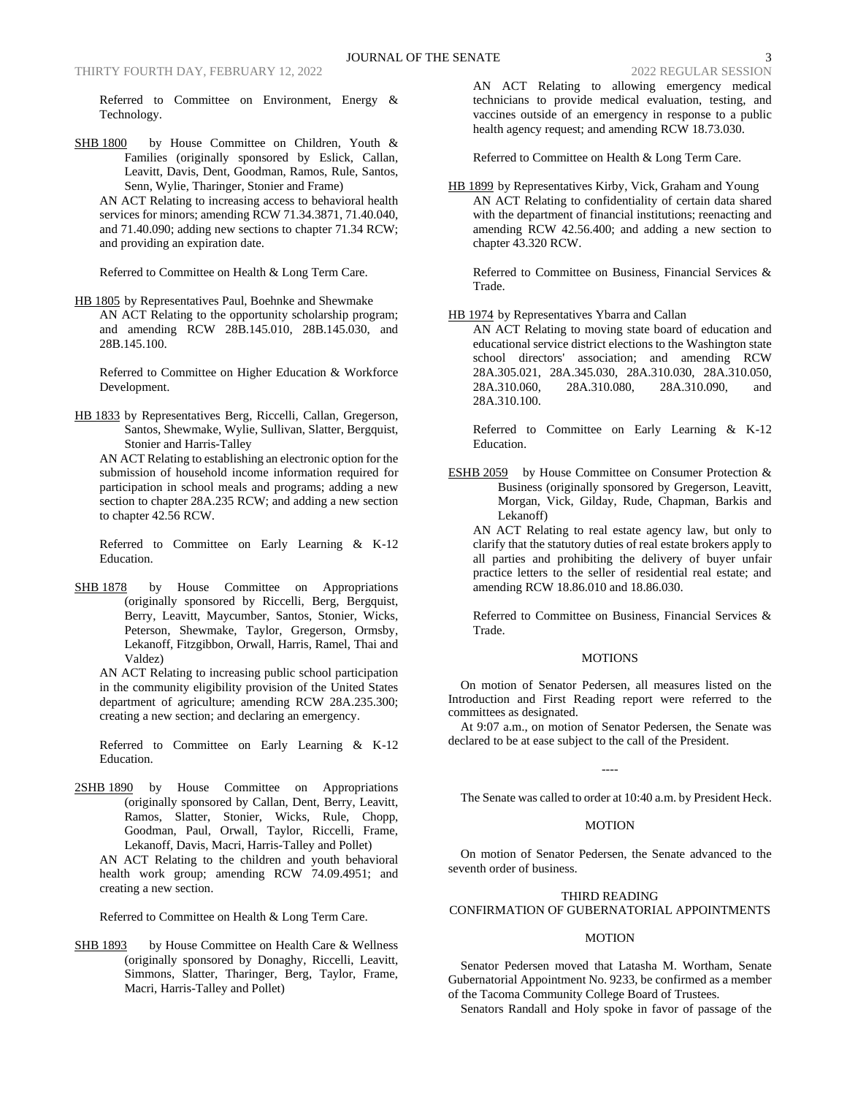Referred to Committee on Environment, Energy & Technology.

- SHB 1800 by House Committee on Children, Youth & Families (originally sponsored by Eslick, Callan, Leavitt, Davis, Dent, Goodman, Ramos, Rule, Santos, Senn, Wylie, Tharinger, Stonier and Frame)
	- AN ACT Relating to increasing access to behavioral health services for minors; amending RCW 71.34.3871, 71.40.040, and 71.40.090; adding new sections to chapter 71.34 RCW; and providing an expiration date.

Referred to Committee on Health & Long Term Care.

HB 1805 by Representatives Paul, Boehnke and Shewmake AN ACT Relating to the opportunity scholarship program; and amending RCW 28B.145.010, 28B.145.030, and 28B.145.100.

Referred to Committee on Higher Education & Workforce Development.

HB 1833 by Representatives Berg, Riccelli, Callan, Gregerson, Santos, Shewmake, Wylie, Sullivan, Slatter, Bergquist, Stonier and Harris-Talley

AN ACT Relating to establishing an electronic option for the submission of household income information required for participation in school meals and programs; adding a new section to chapter 28A.235 RCW; and adding a new section to chapter 42.56 RCW.

Referred to Committee on Early Learning & K-12 Education.

SHB 1878 by House Committee on Appropriations (originally sponsored by Riccelli, Berg, Bergquist, Berry, Leavitt, Maycumber, Santos, Stonier, Wicks, Peterson, Shewmake, Taylor, Gregerson, Ormsby, Lekanoff, Fitzgibbon, Orwall, Harris, Ramel, Thai and Valdez)

AN ACT Relating to increasing public school participation in the community eligibility provision of the United States department of agriculture; amending RCW 28A.235.300; creating a new section; and declaring an emergency.

Referred to Committee on Early Learning & K-12 Education.

2SHB 1890 by House Committee on Appropriations (originally sponsored by Callan, Dent, Berry, Leavitt, Ramos, Slatter, Stonier, Wicks, Rule, Chopp, Goodman, Paul, Orwall, Taylor, Riccelli, Frame, Lekanoff, Davis, Macri, Harris-Talley and Pollet)

AN ACT Relating to the children and youth behavioral health work group; amending RCW 74.09.4951; and creating a new section.

Referred to Committee on Health & Long Term Care.

SHB 1893 by House Committee on Health Care & Wellness (originally sponsored by Donaghy, Riccelli, Leavitt, Simmons, Slatter, Tharinger, Berg, Taylor, Frame, Macri, Harris-Talley and Pollet)

AN ACT Relating to allowing emergency medical technicians to provide medical evaluation, testing, and vaccines outside of an emergency in response to a public health agency request; and amending RCW 18.73.030.

Referred to Committee on Health & Long Term Care.

HB 1899 by Representatives Kirby, Vick, Graham and Young AN ACT Relating to confidentiality of certain data shared with the department of financial institutions; reenacting and amending RCW 42.56.400; and adding a new section to chapter 43.320 RCW.

Referred to Committee on Business, Financial Services & Trade.

HB 1974 by Representatives Ybarra and Callan

AN ACT Relating to moving state board of education and educational service district elections to the Washington state school directors' association; and amending RCW 28A.305.021, 28A.345.030, 28A.310.030, 28A.310.050, 28A.310.060, 28A.310.080, 28A.310.090, and 28A.310.100.

Referred to Committee on Early Learning & K-12 Education.

ESHB 2059 by House Committee on Consumer Protection & Business (originally sponsored by Gregerson, Leavitt, Morgan, Vick, Gilday, Rude, Chapman, Barkis and Lekanoff)

AN ACT Relating to real estate agency law, but only to clarify that the statutory duties of real estate brokers apply to all parties and prohibiting the delivery of buyer unfair practice letters to the seller of residential real estate; and amending RCW 18.86.010 and 18.86.030.

Referred to Committee on Business, Financial Services & Trade.

#### **MOTIONS**

On motion of Senator Pedersen, all measures listed on the Introduction and First Reading report were referred to the committees as designated.

At 9:07 a.m., on motion of Senator Pedersen, the Senate was declared to be at ease subject to the call of the President.

----

The Senate was called to order at 10:40 a.m. by President Heck.

#### MOTION

On motion of Senator Pedersen, the Senate advanced to the seventh order of business.

# THIRD READING

# CONFIRMATION OF GUBERNATORIAL APPOINTMENTS

# MOTION

Senator Pedersen moved that Latasha M. Wortham, Senate Gubernatorial Appointment No. 9233, be confirmed as a member of the Tacoma Community College Board of Trustees.

Senators Randall and Holy spoke in favor of passage of the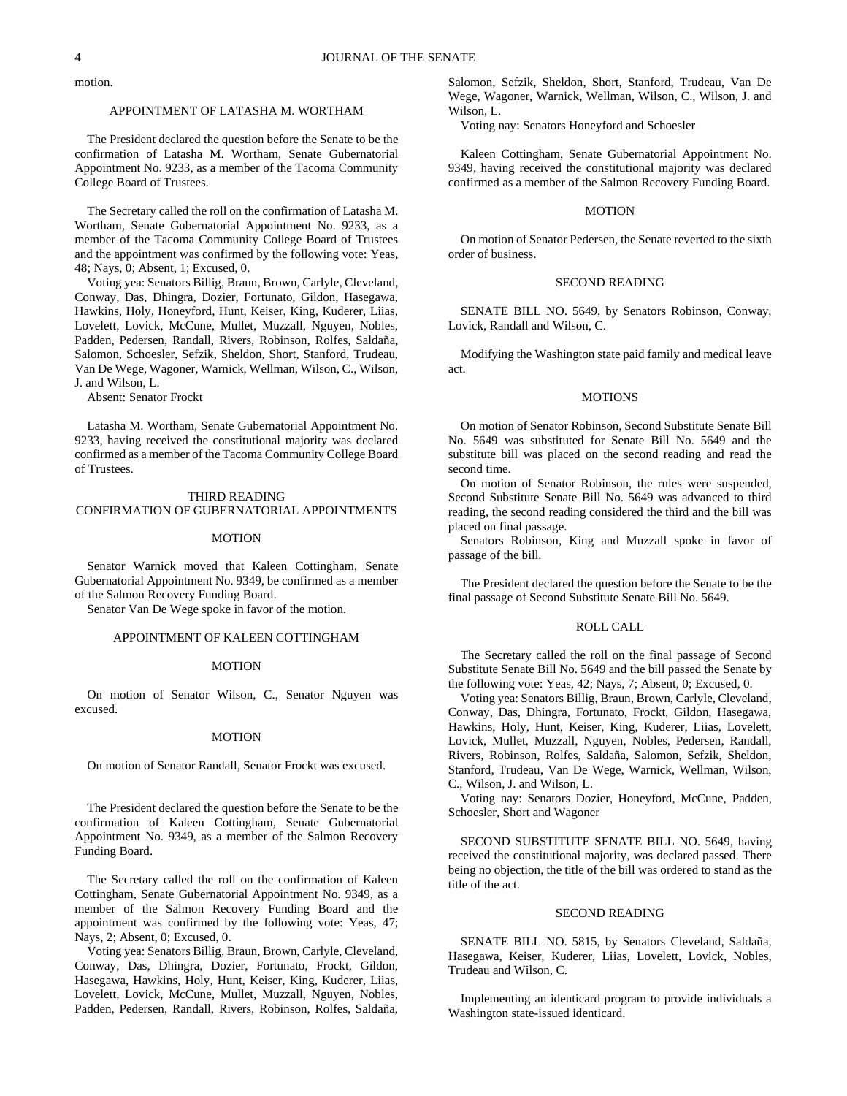motion.

# APPOINTMENT OF LATASHA M. WORTHAM

The President declared the question before the Senate to be the confirmation of Latasha M. Wortham, Senate Gubernatorial Appointment No. 9233, as a member of the Tacoma Community College Board of Trustees.

The Secretary called the roll on the confirmation of Latasha M. Wortham, Senate Gubernatorial Appointment No. 9233, as a member of the Tacoma Community College Board of Trustees and the appointment was confirmed by the following vote: Yeas, 48; Nays, 0; Absent, 1; Excused, 0.

Voting yea: Senators Billig, Braun, Brown, Carlyle, Cleveland, Conway, Das, Dhingra, Dozier, Fortunato, Gildon, Hasegawa, Hawkins, Holy, Honeyford, Hunt, Keiser, King, Kuderer, Liias, Lovelett, Lovick, McCune, Mullet, Muzzall, Nguyen, Nobles, Padden, Pedersen, Randall, Rivers, Robinson, Rolfes, Saldaña, Salomon, Schoesler, Sefzik, Sheldon, Short, Stanford, Trudeau, Van De Wege, Wagoner, Warnick, Wellman, Wilson, C., Wilson, J. and Wilson, L.

Absent: Senator Frockt

Latasha M. Wortham, Senate Gubernatorial Appointment No. 9233, having received the constitutional majority was declared confirmed as a member of the Tacoma Community College Board of Trustees.

#### THIRD READING

#### CONFIRMATION OF GUBERNATORIAL APPOINTMENTS

#### **MOTION**

Senator Warnick moved that Kaleen Cottingham, Senate Gubernatorial Appointment No. 9349, be confirmed as a member of the Salmon Recovery Funding Board.

Senator Van De Wege spoke in favor of the motion.

# APPOINTMENT OF KALEEN COTTINGHAM

#### **MOTION**

On motion of Senator Wilson, C., Senator Nguyen was excused.

#### MOTION

On motion of Senator Randall, Senator Frockt was excused.

The President declared the question before the Senate to be the confirmation of Kaleen Cottingham, Senate Gubernatorial Appointment No. 9349, as a member of the Salmon Recovery Funding Board.

The Secretary called the roll on the confirmation of Kaleen Cottingham, Senate Gubernatorial Appointment No. 9349, as a member of the Salmon Recovery Funding Board and the appointment was confirmed by the following vote: Yeas, 47; Nays, 2; Absent, 0; Excused, 0.

Voting yea: Senators Billig, Braun, Brown, Carlyle, Cleveland, Conway, Das, Dhingra, Dozier, Fortunato, Frockt, Gildon, Hasegawa, Hawkins, Holy, Hunt, Keiser, King, Kuderer, Liias, Lovelett, Lovick, McCune, Mullet, Muzzall, Nguyen, Nobles, Padden, Pedersen, Randall, Rivers, Robinson, Rolfes, Saldaña,

Salomon, Sefzik, Sheldon, Short, Stanford, Trudeau, Van De Wege, Wagoner, Warnick, Wellman, Wilson, C., Wilson, J. and Wilson, L.

Voting nay: Senators Honeyford and Schoesler

Kaleen Cottingham, Senate Gubernatorial Appointment No. 9349, having received the constitutional majority was declared confirmed as a member of the Salmon Recovery Funding Board.

## **MOTION**

On motion of Senator Pedersen, the Senate reverted to the sixth order of business.

## SECOND READING

SENATE BILL NO. 5649, by Senators Robinson, Conway, Lovick, Randall and Wilson, C.

Modifying the Washington state paid family and medical leave act.

#### MOTIONS

On motion of Senator Robinson, Second Substitute Senate Bill No. 5649 was substituted for Senate Bill No. 5649 and the substitute bill was placed on the second reading and read the second time.

On motion of Senator Robinson, the rules were suspended, Second Substitute Senate Bill No. 5649 was advanced to third reading, the second reading considered the third and the bill was placed on final passage.

Senators Robinson, King and Muzzall spoke in favor of passage of the bill.

The President declared the question before the Senate to be the final passage of Second Substitute Senate Bill No. 5649.

## ROLL CALL

The Secretary called the roll on the final passage of Second Substitute Senate Bill No. 5649 and the bill passed the Senate by the following vote: Yeas, 42; Nays, 7; Absent, 0; Excused, 0.

Voting yea: Senators Billig, Braun, Brown, Carlyle, Cleveland, Conway, Das, Dhingra, Fortunato, Frockt, Gildon, Hasegawa, Hawkins, Holy, Hunt, Keiser, King, Kuderer, Liias, Lovelett, Lovick, Mullet, Muzzall, Nguyen, Nobles, Pedersen, Randall, Rivers, Robinson, Rolfes, Saldaña, Salomon, Sefzik, Sheldon, Stanford, Trudeau, Van De Wege, Warnick, Wellman, Wilson, C., Wilson, J. and Wilson, L.

Voting nay: Senators Dozier, Honeyford, McCune, Padden, Schoesler, Short and Wagoner

SECOND SUBSTITUTE SENATE BILL NO. 5649, having received the constitutional majority, was declared passed. There being no objection, the title of the bill was ordered to stand as the title of the act.

## SECOND READING

SENATE BILL NO. 5815, by Senators Cleveland, Saldaña, Hasegawa, Keiser, Kuderer, Liias, Lovelett, Lovick, Nobles, Trudeau and Wilson, C.

Implementing an identicard program to provide individuals a Washington state-issued identicard.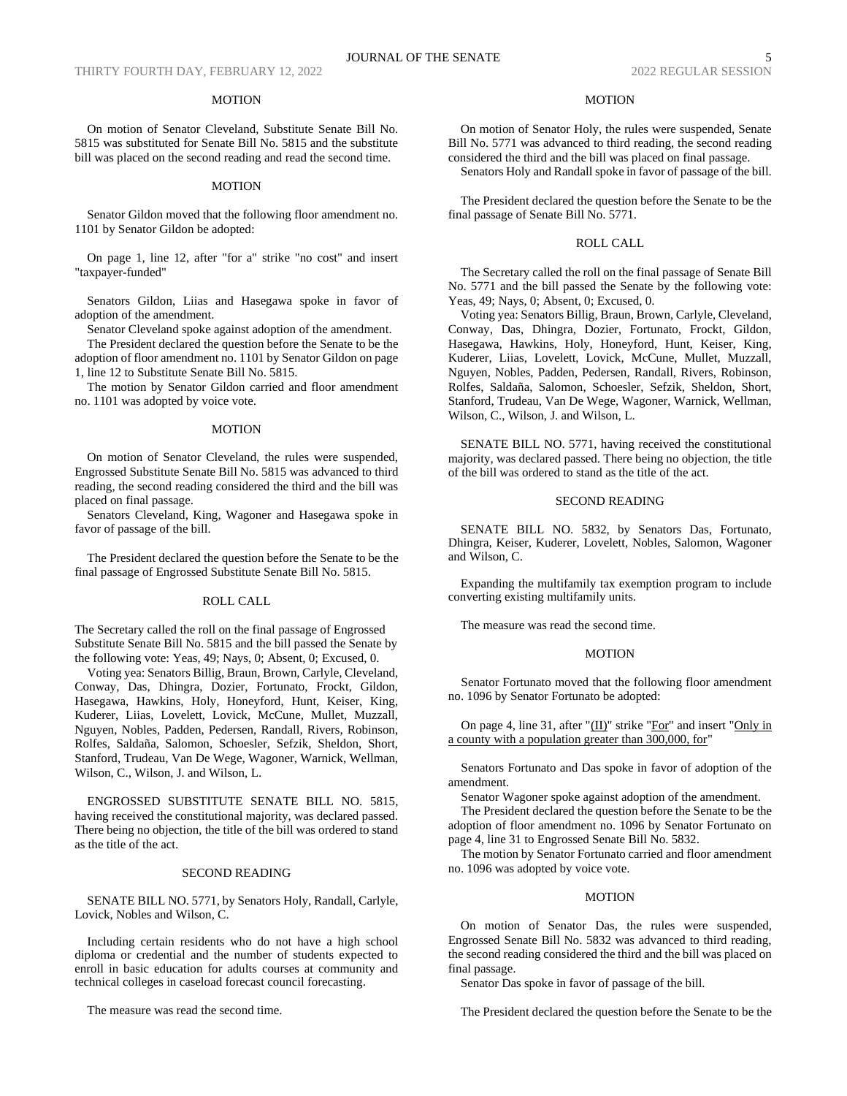## MOTION

On motion of Senator Cleveland, Substitute Senate Bill No. 5815 was substituted for Senate Bill No. 5815 and the substitute bill was placed on the second reading and read the second time.

#### MOTION

Senator Gildon moved that the following floor amendment no. 1101 by Senator Gildon be adopted:

On page 1, line 12, after "for a" strike "no cost" and insert "taxpayer-funded"

Senators Gildon, Liias and Hasegawa spoke in favor of adoption of the amendment.

Senator Cleveland spoke against adoption of the amendment.

The President declared the question before the Senate to be the adoption of floor amendment no. 1101 by Senator Gildon on page 1, line 12 to Substitute Senate Bill No. 5815.

The motion by Senator Gildon carried and floor amendment no. 1101 was adopted by voice vote.

#### MOTION

On motion of Senator Cleveland, the rules were suspended, Engrossed Substitute Senate Bill No. 5815 was advanced to third reading, the second reading considered the third and the bill was placed on final passage.

Senators Cleveland, King, Wagoner and Hasegawa spoke in favor of passage of the bill.

The President declared the question before the Senate to be the final passage of Engrossed Substitute Senate Bill No. 5815.

#### ROLL CALL

The Secretary called the roll on the final passage of Engrossed Substitute Senate Bill No. 5815 and the bill passed the Senate by the following vote: Yeas, 49; Nays, 0; Absent, 0; Excused, 0.

Voting yea: Senators Billig, Braun, Brown, Carlyle, Cleveland, Conway, Das, Dhingra, Dozier, Fortunato, Frockt, Gildon, Hasegawa, Hawkins, Holy, Honeyford, Hunt, Keiser, King, Kuderer, Liias, Lovelett, Lovick, McCune, Mullet, Muzzall, Nguyen, Nobles, Padden, Pedersen, Randall, Rivers, Robinson, Rolfes, Saldaña, Salomon, Schoesler, Sefzik, Sheldon, Short, Stanford, Trudeau, Van De Wege, Wagoner, Warnick, Wellman, Wilson, C., Wilson, J. and Wilson, L.

ENGROSSED SUBSTITUTE SENATE BILL NO. 5815, having received the constitutional majority, was declared passed. There being no objection, the title of the bill was ordered to stand as the title of the act.

#### SECOND READING

SENATE BILL NO. 5771, by Senators Holy, Randall, Carlyle, Lovick, Nobles and Wilson, C.

Including certain residents who do not have a high school diploma or credential and the number of students expected to enroll in basic education for adults courses at community and technical colleges in caseload forecast council forecasting.

The measure was read the second time.

## MOTION

On motion of Senator Holy, the rules were suspended, Senate Bill No. 5771 was advanced to third reading, the second reading considered the third and the bill was placed on final passage.

Senators Holy and Randall spoke in favor of passage of the bill.

The President declared the question before the Senate to be the final passage of Senate Bill No. 5771.

## ROLL CALL

The Secretary called the roll on the final passage of Senate Bill No. 5771 and the bill passed the Senate by the following vote: Yeas, 49; Nays, 0; Absent, 0; Excused, 0.

Voting yea: Senators Billig, Braun, Brown, Carlyle, Cleveland, Conway, Das, Dhingra, Dozier, Fortunato, Frockt, Gildon, Hasegawa, Hawkins, Holy, Honeyford, Hunt, Keiser, King, Kuderer, Liias, Lovelett, Lovick, McCune, Mullet, Muzzall, Nguyen, Nobles, Padden, Pedersen, Randall, Rivers, Robinson, Rolfes, Saldaña, Salomon, Schoesler, Sefzik, Sheldon, Short, Stanford, Trudeau, Van De Wege, Wagoner, Warnick, Wellman, Wilson, C., Wilson, J. and Wilson, L.

SENATE BILL NO. 5771, having received the constitutional majority, was declared passed. There being no objection, the title of the bill was ordered to stand as the title of the act.

## SECOND READING

SENATE BILL NO. 5832, by Senators Das, Fortunato, Dhingra, Keiser, Kuderer, Lovelett, Nobles, Salomon, Wagoner and Wilson, C.

Expanding the multifamily tax exemption program to include converting existing multifamily units.

The measure was read the second time.

## MOTION

Senator Fortunato moved that the following floor amendment no. 1096 by Senator Fortunato be adopted:

On page 4, line 31, after "(II)" strike "For" and insert "Only in a county with a population greater than 300,000, for"

Senators Fortunato and Das spoke in favor of adoption of the amendment.

Senator Wagoner spoke against adoption of the amendment. The President declared the question before the Senate to be the adoption of floor amendment no. 1096 by Senator Fortunato on page 4, line 31 to Engrossed Senate Bill No. 5832.

The motion by Senator Fortunato carried and floor amendment no. 1096 was adopted by voice vote.

## MOTION

On motion of Senator Das, the rules were suspended, Engrossed Senate Bill No. 5832 was advanced to third reading, the second reading considered the third and the bill was placed on final passage.

Senator Das spoke in favor of passage of the bill.

The President declared the question before the Senate to be the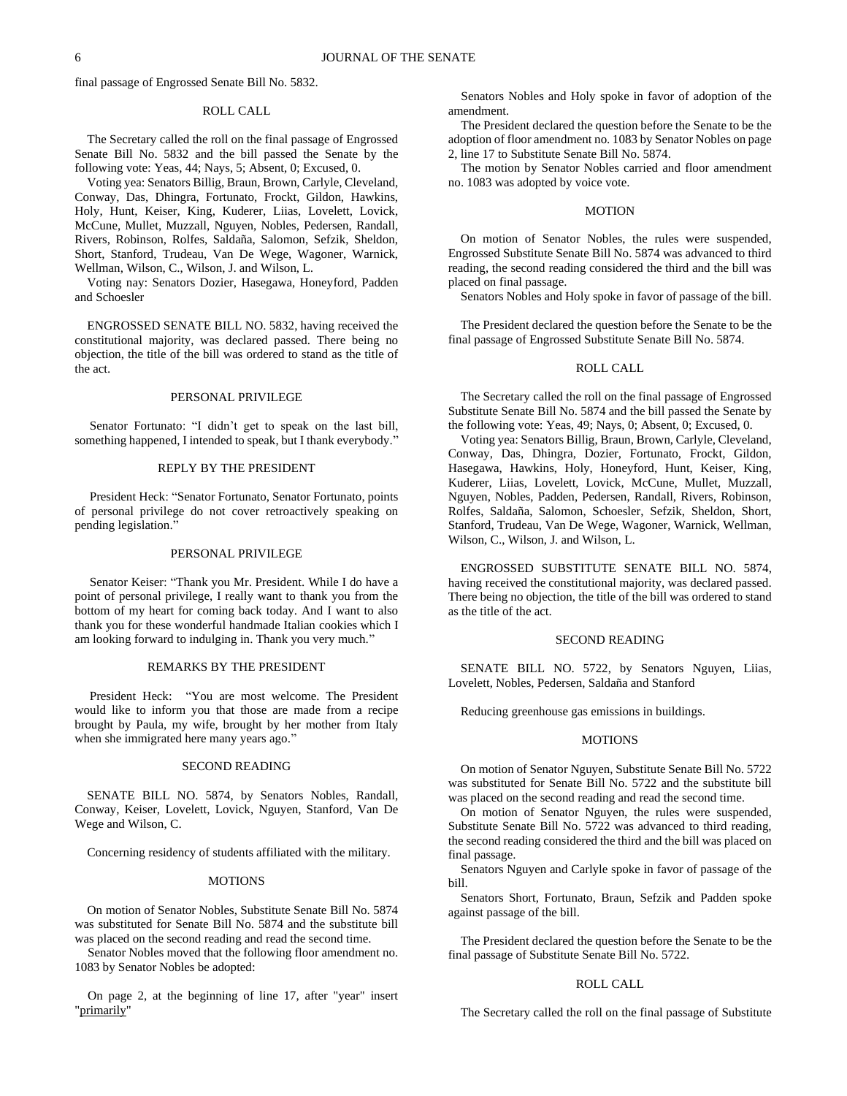final passage of Engrossed Senate Bill No. 5832.

#### ROLL CALL

The Secretary called the roll on the final passage of Engrossed Senate Bill No. 5832 and the bill passed the Senate by the following vote: Yeas, 44; Nays, 5; Absent, 0; Excused, 0.

Voting yea: Senators Billig, Braun, Brown, Carlyle, Cleveland, Conway, Das, Dhingra, Fortunato, Frockt, Gildon, Hawkins, Holy, Hunt, Keiser, King, Kuderer, Liias, Lovelett, Lovick, McCune, Mullet, Muzzall, Nguyen, Nobles, Pedersen, Randall, Rivers, Robinson, Rolfes, Saldaña, Salomon, Sefzik, Sheldon, Short, Stanford, Trudeau, Van De Wege, Wagoner, Warnick, Wellman, Wilson, C., Wilson, J. and Wilson, L.

Voting nay: Senators Dozier, Hasegawa, Honeyford, Padden and Schoesler

ENGROSSED SENATE BILL NO. 5832, having received the constitutional majority, was declared passed. There being no objection, the title of the bill was ordered to stand as the title of the act.

#### PERSONAL PRIVILEGE

Senator Fortunato: "I didn't get to speak on the last bill, something happened, I intended to speak, but I thank everybody."

# REPLY BY THE PRESIDENT

President Heck: "Senator Fortunato, Senator Fortunato, points of personal privilege do not cover retroactively speaking on pending legislation."

# PERSONAL PRIVILEGE

Senator Keiser: "Thank you Mr. President. While I do have a point of personal privilege, I really want to thank you from the bottom of my heart for coming back today. And I want to also thank you for these wonderful handmade Italian cookies which I am looking forward to indulging in. Thank you very much."

# REMARKS BY THE PRESIDENT

President Heck: "You are most welcome. The President would like to inform you that those are made from a recipe brought by Paula, my wife, brought by her mother from Italy when she immigrated here many years ago."

# SECOND READING

SENATE BILL NO. 5874, by Senators Nobles, Randall, Conway, Keiser, Lovelett, Lovick, Nguyen, Stanford, Van De Wege and Wilson, C.

Concerning residency of students affiliated with the military.

#### **MOTIONS**

On motion of Senator Nobles, Substitute Senate Bill No. 5874 was substituted for Senate Bill No. 5874 and the substitute bill was placed on the second reading and read the second time.

Senator Nobles moved that the following floor amendment no. 1083 by Senator Nobles be adopted:

On page 2, at the beginning of line 17, after "year" insert "primarily"

Senators Nobles and Holy spoke in favor of adoption of the amendment.

The President declared the question before the Senate to be the adoption of floor amendment no. 1083 by Senator Nobles on page 2, line 17 to Substitute Senate Bill No. 5874.

The motion by Senator Nobles carried and floor amendment no. 1083 was adopted by voice vote.

#### MOTION

On motion of Senator Nobles, the rules were suspended, Engrossed Substitute Senate Bill No. 5874 was advanced to third reading, the second reading considered the third and the bill was placed on final passage.

Senators Nobles and Holy spoke in favor of passage of the bill.

The President declared the question before the Senate to be the final passage of Engrossed Substitute Senate Bill No. 5874.

## ROLL CALL

The Secretary called the roll on the final passage of Engrossed Substitute Senate Bill No. 5874 and the bill passed the Senate by the following vote: Yeas, 49; Nays, 0; Absent, 0; Excused, 0.

Voting yea: Senators Billig, Braun, Brown, Carlyle, Cleveland, Conway, Das, Dhingra, Dozier, Fortunato, Frockt, Gildon, Hasegawa, Hawkins, Holy, Honeyford, Hunt, Keiser, King, Kuderer, Liias, Lovelett, Lovick, McCune, Mullet, Muzzall, Nguyen, Nobles, Padden, Pedersen, Randall, Rivers, Robinson, Rolfes, Saldaña, Salomon, Schoesler, Sefzik, Sheldon, Short, Stanford, Trudeau, Van De Wege, Wagoner, Warnick, Wellman, Wilson, C., Wilson, J. and Wilson, L.

ENGROSSED SUBSTITUTE SENATE BILL NO. 5874, having received the constitutional majority, was declared passed. There being no objection, the title of the bill was ordered to stand as the title of the act.

## SECOND READING

SENATE BILL NO. 5722, by Senators Nguyen, Liias, Lovelett, Nobles, Pedersen, Saldaña and Stanford

Reducing greenhouse gas emissions in buildings.

#### MOTIONS

On motion of Senator Nguyen, Substitute Senate Bill No. 5722 was substituted for Senate Bill No. 5722 and the substitute bill was placed on the second reading and read the second time.

On motion of Senator Nguyen, the rules were suspended, Substitute Senate Bill No. 5722 was advanced to third reading, the second reading considered the third and the bill was placed on final passage.

Senators Nguyen and Carlyle spoke in favor of passage of the bill.

Senators Short, Fortunato, Braun, Sefzik and Padden spoke against passage of the bill.

The President declared the question before the Senate to be the final passage of Substitute Senate Bill No. 5722.

#### ROLL CALL

The Secretary called the roll on the final passage of Substitute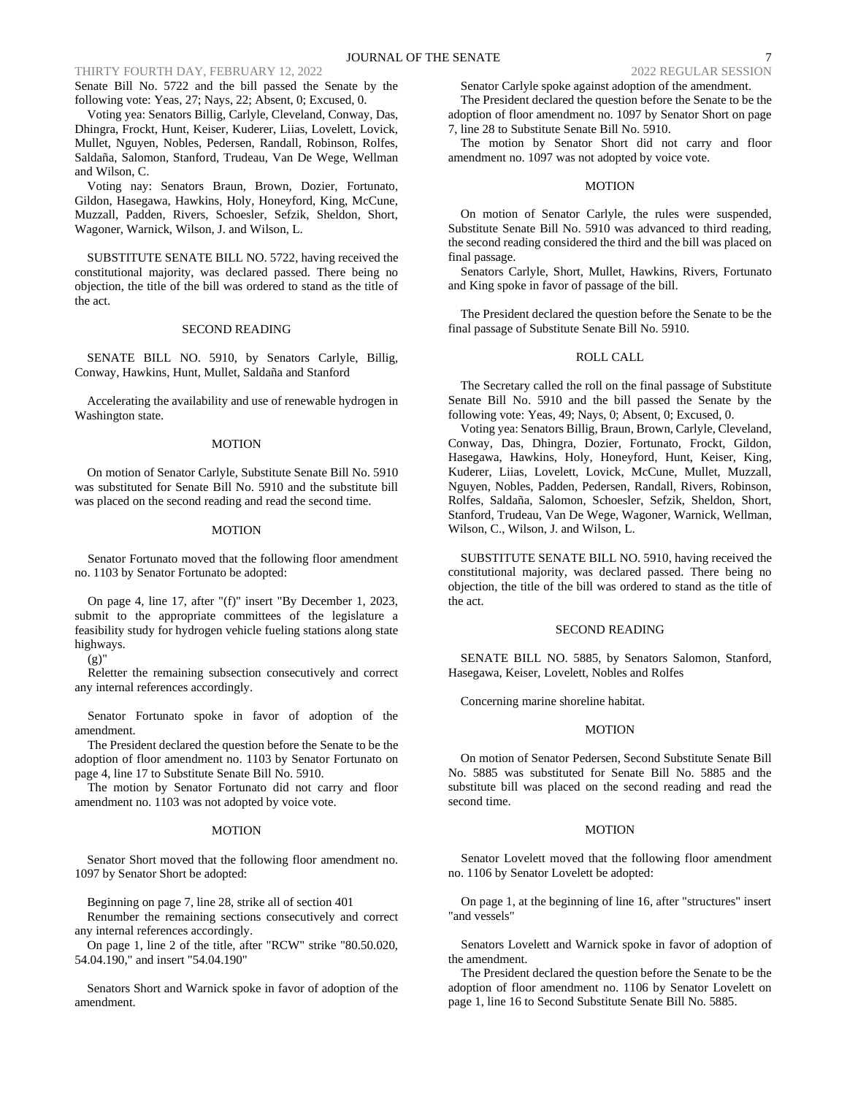# THIRTY FOURTH DAY, FEBRUARY 12, 2022 2022 2022 2022 2022 REGULAR SESSION

Senate Bill No. 5722 and the bill passed the Senate by the following vote: Yeas, 27; Nays, 22; Absent, 0; Excused, 0.

Voting yea: Senators Billig, Carlyle, Cleveland, Conway, Das, Dhingra, Frockt, Hunt, Keiser, Kuderer, Liias, Lovelett, Lovick, Mullet, Nguyen, Nobles, Pedersen, Randall, Robinson, Rolfes, Saldaña, Salomon, Stanford, Trudeau, Van De Wege, Wellman and Wilson, C.

Voting nay: Senators Braun, Brown, Dozier, Fortunato, Gildon, Hasegawa, Hawkins, Holy, Honeyford, King, McCune, Muzzall, Padden, Rivers, Schoesler, Sefzik, Sheldon, Short, Wagoner, Warnick, Wilson, J. and Wilson, L.

SUBSTITUTE SENATE BILL NO. 5722, having received the constitutional majority, was declared passed. There being no objection, the title of the bill was ordered to stand as the title of the act.

#### SECOND READING

SENATE BILL NO. 5910, by Senators Carlyle, Billig, Conway, Hawkins, Hunt, Mullet, Saldaña and Stanford

Accelerating the availability and use of renewable hydrogen in Washington state.

#### MOTION

On motion of Senator Carlyle, Substitute Senate Bill No. 5910 was substituted for Senate Bill No. 5910 and the substitute bill was placed on the second reading and read the second time.

## MOTION

Senator Fortunato moved that the following floor amendment no. 1103 by Senator Fortunato be adopted:

On page 4, line 17, after "(f)" insert "By December 1, 2023, submit to the appropriate committees of the legislature a feasibility study for hydrogen vehicle fueling stations along state highways.

(g)"

Reletter the remaining subsection consecutively and correct any internal references accordingly.

Senator Fortunato spoke in favor of adoption of the amendment.

The President declared the question before the Senate to be the adoption of floor amendment no. 1103 by Senator Fortunato on page 4, line 17 to Substitute Senate Bill No. 5910.

The motion by Senator Fortunato did not carry and floor amendment no. 1103 was not adopted by voice vote.

# MOTION

Senator Short moved that the following floor amendment no. 1097 by Senator Short be adopted:

Beginning on page 7, line 28, strike all of section 401

Renumber the remaining sections consecutively and correct any internal references accordingly.

On page 1, line 2 of the title, after "RCW" strike "80.50.020, 54.04.190," and insert "54.04.190"

Senators Short and Warnick spoke in favor of adoption of the amendment.

Senator Carlyle spoke against adoption of the amendment.

The President declared the question before the Senate to be the adoption of floor amendment no. 1097 by Senator Short on page 7, line 28 to Substitute Senate Bill No. 5910.

The motion by Senator Short did not carry and floor amendment no. 1097 was not adopted by voice vote.

#### MOTION

On motion of Senator Carlyle, the rules were suspended, Substitute Senate Bill No. 5910 was advanced to third reading, the second reading considered the third and the bill was placed on final passage.

Senators Carlyle, Short, Mullet, Hawkins, Rivers, Fortunato and King spoke in favor of passage of the bill.

The President declared the question before the Senate to be the final passage of Substitute Senate Bill No. 5910.

#### ROLL CALL

The Secretary called the roll on the final passage of Substitute Senate Bill No. 5910 and the bill passed the Senate by the following vote: Yeas, 49; Nays, 0; Absent, 0; Excused, 0.

Voting yea: Senators Billig, Braun, Brown, Carlyle, Cleveland, Conway, Das, Dhingra, Dozier, Fortunato, Frockt, Gildon, Hasegawa, Hawkins, Holy, Honeyford, Hunt, Keiser, King, Kuderer, Liias, Lovelett, Lovick, McCune, Mullet, Muzzall, Nguyen, Nobles, Padden, Pedersen, Randall, Rivers, Robinson, Rolfes, Saldaña, Salomon, Schoesler, Sefzik, Sheldon, Short, Stanford, Trudeau, Van De Wege, Wagoner, Warnick, Wellman, Wilson, C., Wilson, J. and Wilson, L.

SUBSTITUTE SENATE BILL NO. 5910, having received the constitutional majority, was declared passed. There being no objection, the title of the bill was ordered to stand as the title of the act.

#### SECOND READING

SENATE BILL NO. 5885, by Senators Salomon, Stanford, Hasegawa, Keiser, Lovelett, Nobles and Rolfes

Concerning marine shoreline habitat.

#### MOTION

On motion of Senator Pedersen, Second Substitute Senate Bill No. 5885 was substituted for Senate Bill No. 5885 and the substitute bill was placed on the second reading and read the second time.

#### MOTION

Senator Lovelett moved that the following floor amendment no. 1106 by Senator Lovelett be adopted:

On page 1, at the beginning of line 16, after "structures" insert "and vessels"

Senators Lovelett and Warnick spoke in favor of adoption of the amendment.

The President declared the question before the Senate to be the adoption of floor amendment no. 1106 by Senator Lovelett on page 1, line 16 to Second Substitute Senate Bill No. 5885.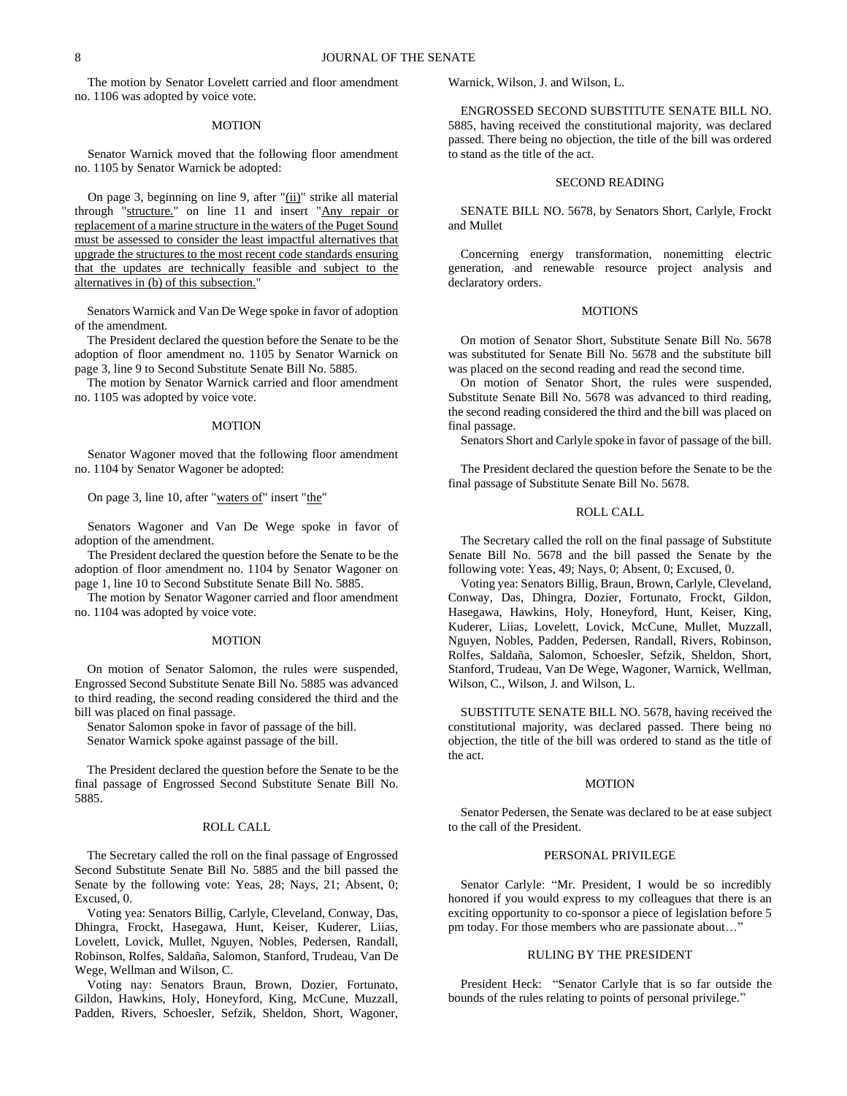The motion by Senator Lovelett carried and floor amendment no. 1106 was adopted by voice vote.

#### MOTION

Senator Warnick moved that the following floor amendment no. 1105 by Senator Warnick be adopted:

On page 3, beginning on line 9, after "(ii)" strike all material through "structure." on line 11 and insert "Any repair or replacement of a marine structure in the waters of the Puget Sound must be assessed to consider the least impactful alternatives that upgrade the structures to the most recent code standards ensuring that the updates are technically feasible and subject to the alternatives in (b) of this subsection."

Senators Warnick and Van De Wege spoke in favor of adoption of the amendment.

The President declared the question before the Senate to be the adoption of floor amendment no. 1105 by Senator Warnick on page 3, line 9 to Second Substitute Senate Bill No. 5885.

The motion by Senator Warnick carried and floor amendment no. 1105 was adopted by voice vote.

#### MOTION

Senator Wagoner moved that the following floor amendment no. 1104 by Senator Wagoner be adopted:

On page 3, line 10, after "waters of" insert "the"

Senators Wagoner and Van De Wege spoke in favor of adoption of the amendment.

The President declared the question before the Senate to be the adoption of floor amendment no. 1104 by Senator Wagoner on page 1, line 10 to Second Substitute Senate Bill No. 5885.

The motion by Senator Wagoner carried and floor amendment no. 1104 was adopted by voice vote.

## MOTION

On motion of Senator Salomon, the rules were suspended, Engrossed Second Substitute Senate Bill No. 5885 was advanced to third reading, the second reading considered the third and the bill was placed on final passage.

Senator Salomon spoke in favor of passage of the bill.

Senator Warnick spoke against passage of the bill.

The President declared the question before the Senate to be the final passage of Engrossed Second Substitute Senate Bill No. 5885.

## ROLL CALL

The Secretary called the roll on the final passage of Engrossed Second Substitute Senate Bill No. 5885 and the bill passed the Senate by the following vote: Yeas, 28; Nays, 21; Absent, 0; Excused, 0.

Voting yea: Senators Billig, Carlyle, Cleveland, Conway, Das, Dhingra, Frockt, Hasegawa, Hunt, Keiser, Kuderer, Liias, Lovelett, Lovick, Mullet, Nguyen, Nobles, Pedersen, Randall, Robinson, Rolfes, Saldaña, Salomon, Stanford, Trudeau, Van De Wege, Wellman and Wilson, C.

Voting nay: Senators Braun, Brown, Dozier, Fortunato, Gildon, Hawkins, Holy, Honeyford, King, McCune, Muzzall, Padden, Rivers, Schoesler, Sefzik, Sheldon, Short, Wagoner, Warnick, Wilson, J. and Wilson, L.

ENGROSSED SECOND SUBSTITUTE SENATE BILL NO. 5885, having received the constitutional majority, was declared passed. There being no objection, the title of the bill was ordered to stand as the title of the act.

# SECOND READING

SENATE BILL NO. 5678, by Senators Short, Carlyle, Frockt and Mullet

Concerning energy transformation, nonemitting electric generation, and renewable resource project analysis and declaratory orders.

## **MOTIONS**

On motion of Senator Short, Substitute Senate Bill No. 5678 was substituted for Senate Bill No. 5678 and the substitute bill was placed on the second reading and read the second time.

On motion of Senator Short, the rules were suspended, Substitute Senate Bill No. 5678 was advanced to third reading, the second reading considered the third and the bill was placed on final passage.

Senators Short and Carlyle spoke in favor of passage of the bill.

The President declared the question before the Senate to be the final passage of Substitute Senate Bill No. 5678.

#### ROLL CALL

The Secretary called the roll on the final passage of Substitute Senate Bill No. 5678 and the bill passed the Senate by the following vote: Yeas, 49; Nays, 0; Absent, 0; Excused, 0.

Voting yea: Senators Billig, Braun, Brown, Carlyle, Cleveland, Conway, Das, Dhingra, Dozier, Fortunato, Frockt, Gildon, Hasegawa, Hawkins, Holy, Honeyford, Hunt, Keiser, King, Kuderer, Liias, Lovelett, Lovick, McCune, Mullet, Muzzall, Nguyen, Nobles, Padden, Pedersen, Randall, Rivers, Robinson, Rolfes, Saldaña, Salomon, Schoesler, Sefzik, Sheldon, Short, Stanford, Trudeau, Van De Wege, Wagoner, Warnick, Wellman, Wilson, C., Wilson, J. and Wilson, L.

SUBSTITUTE SENATE BILL NO. 5678, having received the constitutional majority, was declared passed. There being no objection, the title of the bill was ordered to stand as the title of the act.

## MOTION

Senator Pedersen, the Senate was declared to be at ease subject to the call of the President.

#### PERSONAL PRIVILEGE

Senator Carlyle: "Mr. President, I would be so incredibly honored if you would express to my colleagues that there is an exciting opportunity to co-sponsor a piece of legislation before 5 pm today. For those members who are passionate about…"

# RULING BY THE PRESIDENT

President Heck: "Senator Carlyle that is so far outside the bounds of the rules relating to points of personal privilege."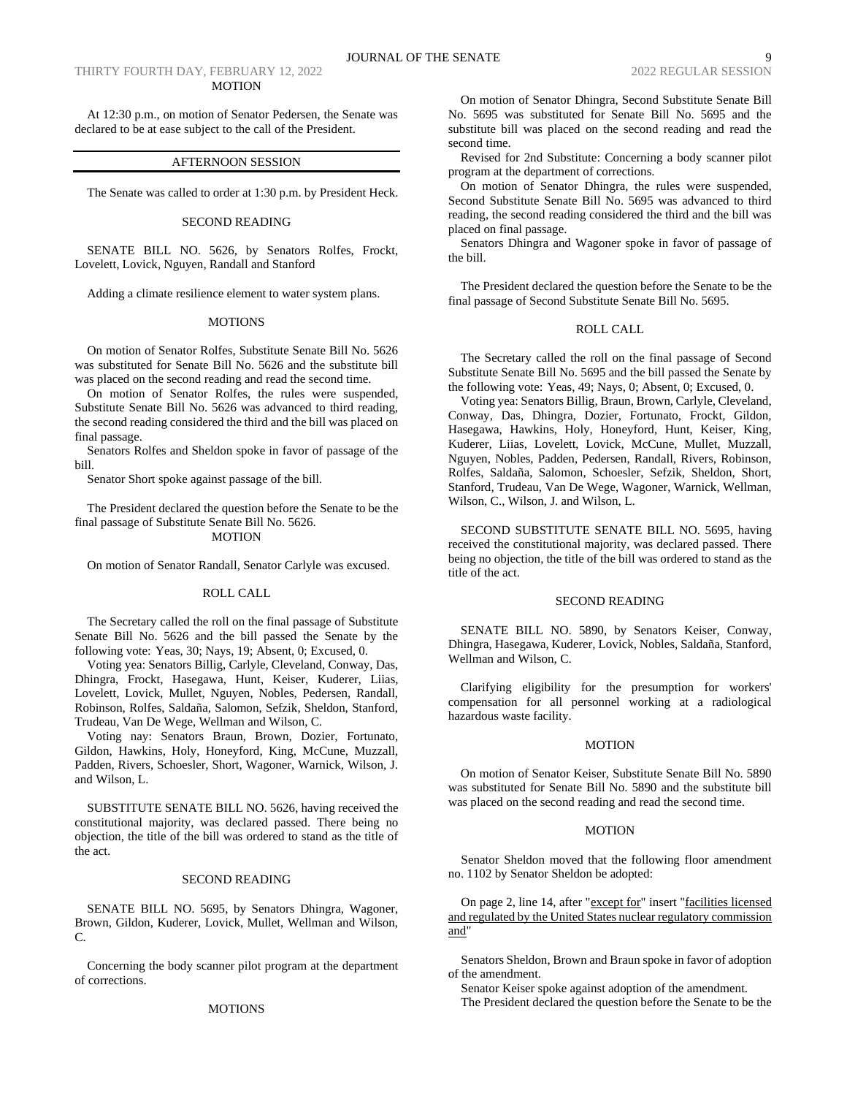## THIRTY FOURTH DAY, FEBRUARY 12, 2022 2022 2022 2022 2022 REGULAR SESSION MOTION

At 12:30 p.m., on motion of Senator Pedersen, the Senate was declared to be at ease subject to the call of the President.

#### AFTERNOON SESSION

The Senate was called to order at 1:30 p.m. by President Heck.

## SECOND READING

SENATE BILL NO. 5626, by Senators Rolfes, Frockt, Lovelett, Lovick, Nguyen, Randall and Stanford

Adding a climate resilience element to water system plans.

## MOTIONS

On motion of Senator Rolfes, Substitute Senate Bill No. 5626 was substituted for Senate Bill No. 5626 and the substitute bill was placed on the second reading and read the second time.

On motion of Senator Rolfes, the rules were suspended, Substitute Senate Bill No. 5626 was advanced to third reading, the second reading considered the third and the bill was placed on final passage.

Senators Rolfes and Sheldon spoke in favor of passage of the bill.

Senator Short spoke against passage of the bill.

The President declared the question before the Senate to be the final passage of Substitute Senate Bill No. 5626. MOTION

On motion of Senator Randall, Senator Carlyle was excused.

# ROLL CALL

The Secretary called the roll on the final passage of Substitute Senate Bill No. 5626 and the bill passed the Senate by the following vote: Yeas, 30; Nays, 19; Absent, 0; Excused, 0.

Voting yea: Senators Billig, Carlyle, Cleveland, Conway, Das, Dhingra, Frockt, Hasegawa, Hunt, Keiser, Kuderer, Liias, Lovelett, Lovick, Mullet, Nguyen, Nobles, Pedersen, Randall, Robinson, Rolfes, Saldaña, Salomon, Sefzik, Sheldon, Stanford, Trudeau, Van De Wege, Wellman and Wilson, C.

Voting nay: Senators Braun, Brown, Dozier, Fortunato, Gildon, Hawkins, Holy, Honeyford, King, McCune, Muzzall, Padden, Rivers, Schoesler, Short, Wagoner, Warnick, Wilson, J. and Wilson, L.

SUBSTITUTE SENATE BILL NO. 5626, having received the constitutional majority, was declared passed. There being no objection, the title of the bill was ordered to stand as the title of the act.

#### SECOND READING

SENATE BILL NO. 5695, by Senators Dhingra, Wagoner, Brown, Gildon, Kuderer, Lovick, Mullet, Wellman and Wilson, C.

Concerning the body scanner pilot program at the department of corrections.

#### MOTIONS

On motion of Senator Dhingra, Second Substitute Senate Bill No. 5695 was substituted for Senate Bill No. 5695 and the substitute bill was placed on the second reading and read the second time.

Revised for 2nd Substitute: Concerning a body scanner pilot program at the department of corrections.

On motion of Senator Dhingra, the rules were suspended, Second Substitute Senate Bill No. 5695 was advanced to third reading, the second reading considered the third and the bill was placed on final passage.

Senators Dhingra and Wagoner spoke in favor of passage of the bill.

The President declared the question before the Senate to be the final passage of Second Substitute Senate Bill No. 5695.

## ROLL CALL

The Secretary called the roll on the final passage of Second Substitute Senate Bill No. 5695 and the bill passed the Senate by the following vote: Yeas, 49; Nays, 0; Absent, 0; Excused, 0.

Voting yea: Senators Billig, Braun, Brown, Carlyle, Cleveland, Conway, Das, Dhingra, Dozier, Fortunato, Frockt, Gildon, Hasegawa, Hawkins, Holy, Honeyford, Hunt, Keiser, King, Kuderer, Liias, Lovelett, Lovick, McCune, Mullet, Muzzall, Nguyen, Nobles, Padden, Pedersen, Randall, Rivers, Robinson, Rolfes, Saldaña, Salomon, Schoesler, Sefzik, Sheldon, Short, Stanford, Trudeau, Van De Wege, Wagoner, Warnick, Wellman, Wilson, C., Wilson, J. and Wilson, L.

SECOND SUBSTITUTE SENATE BILL NO. 5695, having received the constitutional majority, was declared passed. There being no objection, the title of the bill was ordered to stand as the title of the act.

#### SECOND READING

SENATE BILL NO. 5890, by Senators Keiser, Conway, Dhingra, Hasegawa, Kuderer, Lovick, Nobles, Saldaña, Stanford, Wellman and Wilson, C.

Clarifying eligibility for the presumption for workers' compensation for all personnel working at a radiological hazardous waste facility.

#### MOTION

On motion of Senator Keiser, Substitute Senate Bill No. 5890 was substituted for Senate Bill No. 5890 and the substitute bill was placed on the second reading and read the second time.

# MOTION

Senator Sheldon moved that the following floor amendment no. 1102 by Senator Sheldon be adopted:

On page 2, line 14, after "except for" insert "facilities licensed and regulated by the United States nuclear regulatory commission and"

Senators Sheldon, Brown and Braun spoke in favor of adoption of the amendment.

Senator Keiser spoke against adoption of the amendment.

The President declared the question before the Senate to be the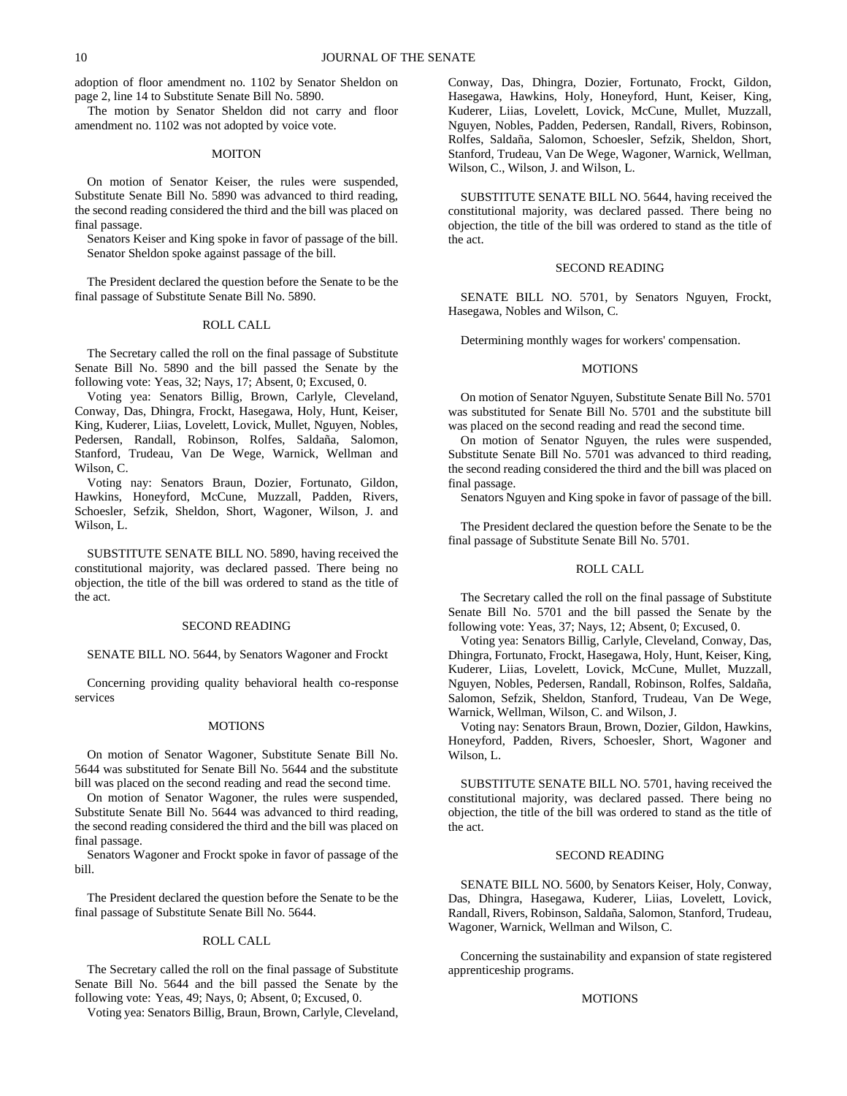adoption of floor amendment no. 1102 by Senator Sheldon on page 2, line 14 to Substitute Senate Bill No. 5890.

The motion by Senator Sheldon did not carry and floor amendment no. 1102 was not adopted by voice vote.

## MOITON

On motion of Senator Keiser, the rules were suspended, Substitute Senate Bill No. 5890 was advanced to third reading, the second reading considered the third and the bill was placed on final passage.

Senators Keiser and King spoke in favor of passage of the bill. Senator Sheldon spoke against passage of the bill.

The President declared the question before the Senate to be the final passage of Substitute Senate Bill No. 5890.

#### ROLL CALL

The Secretary called the roll on the final passage of Substitute Senate Bill No. 5890 and the bill passed the Senate by the following vote: Yeas, 32; Nays, 17; Absent, 0; Excused, 0.

Voting yea: Senators Billig, Brown, Carlyle, Cleveland, Conway, Das, Dhingra, Frockt, Hasegawa, Holy, Hunt, Keiser, King, Kuderer, Liias, Lovelett, Lovick, Mullet, Nguyen, Nobles, Pedersen, Randall, Robinson, Rolfes, Saldaña, Salomon, Stanford, Trudeau, Van De Wege, Warnick, Wellman and Wilson, C.

Voting nay: Senators Braun, Dozier, Fortunato, Gildon, Hawkins, Honeyford, McCune, Muzzall, Padden, Rivers, Schoesler, Sefzik, Sheldon, Short, Wagoner, Wilson, J. and Wilson, L.

SUBSTITUTE SENATE BILL NO. 5890, having received the constitutional majority, was declared passed. There being no objection, the title of the bill was ordered to stand as the title of the act.

### SECOND READING

# SENATE BILL NO. 5644, by Senators Wagoner and Frockt

Concerning providing quality behavioral health co-response services

#### MOTIONS

On motion of Senator Wagoner, Substitute Senate Bill No. 5644 was substituted for Senate Bill No. 5644 and the substitute bill was placed on the second reading and read the second time.

On motion of Senator Wagoner, the rules were suspended, Substitute Senate Bill No. 5644 was advanced to third reading, the second reading considered the third and the bill was placed on final passage.

Senators Wagoner and Frockt spoke in favor of passage of the bill.

The President declared the question before the Senate to be the final passage of Substitute Senate Bill No. 5644.

#### ROLL CALL

The Secretary called the roll on the final passage of Substitute Senate Bill No. 5644 and the bill passed the Senate by the following vote: Yeas, 49; Nays, 0; Absent, 0; Excused, 0.

Voting yea: Senators Billig, Braun, Brown, Carlyle, Cleveland,

Conway, Das, Dhingra, Dozier, Fortunato, Frockt, Gildon, Hasegawa, Hawkins, Holy, Honeyford, Hunt, Keiser, King, Kuderer, Liias, Lovelett, Lovick, McCune, Mullet, Muzzall, Nguyen, Nobles, Padden, Pedersen, Randall, Rivers, Robinson, Rolfes, Saldaña, Salomon, Schoesler, Sefzik, Sheldon, Short, Stanford, Trudeau, Van De Wege, Wagoner, Warnick, Wellman, Wilson, C., Wilson, J. and Wilson, L.

SUBSTITUTE SENATE BILL NO. 5644, having received the constitutional majority, was declared passed. There being no objection, the title of the bill was ordered to stand as the title of the act.

#### SECOND READING

SENATE BILL NO. 5701, by Senators Nguyen, Frockt, Hasegawa, Nobles and Wilson, C.

Determining monthly wages for workers' compensation.

#### MOTIONS

On motion of Senator Nguyen, Substitute Senate Bill No. 5701 was substituted for Senate Bill No. 5701 and the substitute bill was placed on the second reading and read the second time.

On motion of Senator Nguyen, the rules were suspended, Substitute Senate Bill No. 5701 was advanced to third reading, the second reading considered the third and the bill was placed on final passage.

Senators Nguyen and King spoke in favor of passage of the bill.

The President declared the question before the Senate to be the final passage of Substitute Senate Bill No. 5701.

#### ROLL CALL

The Secretary called the roll on the final passage of Substitute Senate Bill No. 5701 and the bill passed the Senate by the following vote: Yeas, 37; Nays, 12; Absent, 0; Excused, 0.

Voting yea: Senators Billig, Carlyle, Cleveland, Conway, Das, Dhingra, Fortunato, Frockt, Hasegawa, Holy, Hunt, Keiser, King, Kuderer, Liias, Lovelett, Lovick, McCune, Mullet, Muzzall, Nguyen, Nobles, Pedersen, Randall, Robinson, Rolfes, Saldaña, Salomon, Sefzik, Sheldon, Stanford, Trudeau, Van De Wege, Warnick, Wellman, Wilson, C. and Wilson, J.

Voting nay: Senators Braun, Brown, Dozier, Gildon, Hawkins, Honeyford, Padden, Rivers, Schoesler, Short, Wagoner and Wilson, L.

SUBSTITUTE SENATE BILL NO. 5701, having received the constitutional majority, was declared passed. There being no objection, the title of the bill was ordered to stand as the title of the act.

#### SECOND READING

SENATE BILL NO. 5600, by Senators Keiser, Holy, Conway, Das, Dhingra, Hasegawa, Kuderer, Liias, Lovelett, Lovick, Randall, Rivers, Robinson, Saldaña, Salomon, Stanford, Trudeau, Wagoner, Warnick, Wellman and Wilson, C.

Concerning the sustainability and expansion of state registered apprenticeship programs.

#### MOTIONS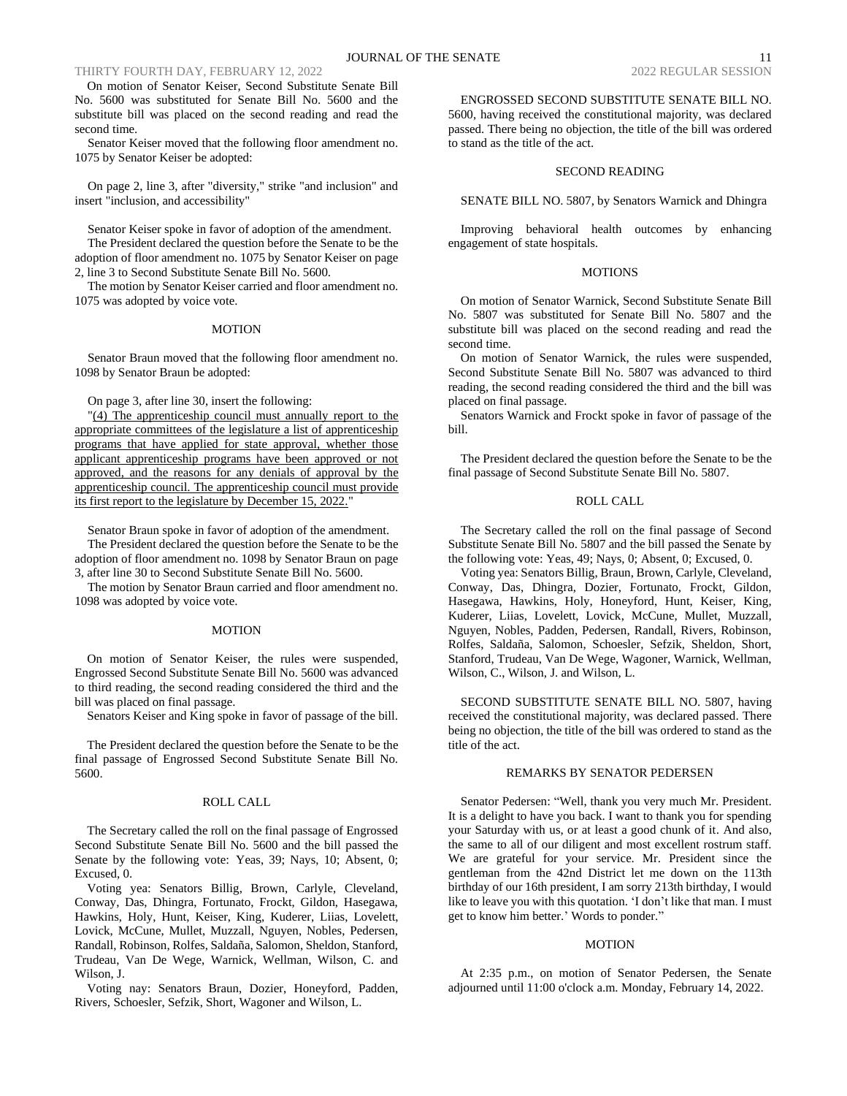# THIRTY FOURTH DAY, FEBRUARY 12, 2022 2022 2022 2022 2022 REGULAR SESSION

On motion of Senator Keiser, Second Substitute Senate Bill No. 5600 was substituted for Senate Bill No. 5600 and the substitute bill was placed on the second reading and read the second time.

Senator Keiser moved that the following floor amendment no. 1075 by Senator Keiser be adopted:

On page 2, line 3, after "diversity," strike "and inclusion" and insert "inclusion, and accessibility"

Senator Keiser spoke in favor of adoption of the amendment. The President declared the question before the Senate to be the adoption of floor amendment no. 1075 by Senator Keiser on page 2, line 3 to Second Substitute Senate Bill No. 5600.

The motion by Senator Keiser carried and floor amendment no. 1075 was adopted by voice vote.

#### MOTION

Senator Braun moved that the following floor amendment no. 1098 by Senator Braun be adopted:

On page 3, after line 30, insert the following:

"(4) The apprenticeship council must annually report to the appropriate committees of the legislature a list of apprenticeship programs that have applied for state approval, whether those applicant apprenticeship programs have been approved or not approved, and the reasons for any denials of approval by the apprenticeship council. The apprenticeship council must provide its first report to the legislature by December 15, 2022."

Senator Braun spoke in favor of adoption of the amendment. The President declared the question before the Senate to be the adoption of floor amendment no. 1098 by Senator Braun on page 3, after line 30 to Second Substitute Senate Bill No. 5600.

The motion by Senator Braun carried and floor amendment no. 1098 was adopted by voice vote.

#### **MOTION**

On motion of Senator Keiser, the rules were suspended, Engrossed Second Substitute Senate Bill No. 5600 was advanced to third reading, the second reading considered the third and the bill was placed on final passage.

Senators Keiser and King spoke in favor of passage of the bill.

The President declared the question before the Senate to be the final passage of Engrossed Second Substitute Senate Bill No. 5600.

# ROLL CALL

The Secretary called the roll on the final passage of Engrossed Second Substitute Senate Bill No. 5600 and the bill passed the Senate by the following vote: Yeas, 39; Nays, 10; Absent, 0; Excused, 0.

Voting yea: Senators Billig, Brown, Carlyle, Cleveland, Conway, Das, Dhingra, Fortunato, Frockt, Gildon, Hasegawa, Hawkins, Holy, Hunt, Keiser, King, Kuderer, Liias, Lovelett, Lovick, McCune, Mullet, Muzzall, Nguyen, Nobles, Pedersen, Randall, Robinson, Rolfes, Saldaña, Salomon, Sheldon, Stanford, Trudeau, Van De Wege, Warnick, Wellman, Wilson, C. and Wilson, J.

Voting nay: Senators Braun, Dozier, Honeyford, Padden, Rivers, Schoesler, Sefzik, Short, Wagoner and Wilson, L.

ENGROSSED SECOND SUBSTITUTE SENATE BILL NO. 5600, having received the constitutional majority, was declared passed. There being no objection, the title of the bill was ordered to stand as the title of the act.

# SECOND READING

SENATE BILL NO. 5807, by Senators Warnick and Dhingra

Improving behavioral health outcomes by enhancing engagement of state hospitals.

## **MOTIONS**

On motion of Senator Warnick, Second Substitute Senate Bill No. 5807 was substituted for Senate Bill No. 5807 and the substitute bill was placed on the second reading and read the second time.

On motion of Senator Warnick, the rules were suspended, Second Substitute Senate Bill No. 5807 was advanced to third reading, the second reading considered the third and the bill was placed on final passage.

Senators Warnick and Frockt spoke in favor of passage of the bill.

The President declared the question before the Senate to be the final passage of Second Substitute Senate Bill No. 5807.

# ROLL CALL

The Secretary called the roll on the final passage of Second Substitute Senate Bill No. 5807 and the bill passed the Senate by the following vote: Yeas, 49; Nays, 0; Absent, 0; Excused, 0.

Voting yea: Senators Billig, Braun, Brown, Carlyle, Cleveland, Conway, Das, Dhingra, Dozier, Fortunato, Frockt, Gildon, Hasegawa, Hawkins, Holy, Honeyford, Hunt, Keiser, King, Kuderer, Liias, Lovelett, Lovick, McCune, Mullet, Muzzall, Nguyen, Nobles, Padden, Pedersen, Randall, Rivers, Robinson, Rolfes, Saldaña, Salomon, Schoesler, Sefzik, Sheldon, Short, Stanford, Trudeau, Van De Wege, Wagoner, Warnick, Wellman, Wilson, C., Wilson, J. and Wilson, L.

SECOND SUBSTITUTE SENATE BILL NO. 5807, having received the constitutional majority, was declared passed. There being no objection, the title of the bill was ordered to stand as the title of the act.

#### REMARKS BY SENATOR PEDERSEN

Senator Pedersen: "Well, thank you very much Mr. President. It is a delight to have you back. I want to thank you for spending your Saturday with us, or at least a good chunk of it. And also, the same to all of our diligent and most excellent rostrum staff. We are grateful for your service. Mr. President since the gentleman from the 42nd District let me down on the 113th birthday of our 16th president, I am sorry 213th birthday, I would like to leave you with this quotation. 'I don't like that man. I must get to know him better.' Words to ponder."

#### MOTION

At 2:35 p.m., on motion of Senator Pedersen, the Senate adjourned until 11:00 o'clock a.m. Monday, February 14, 2022.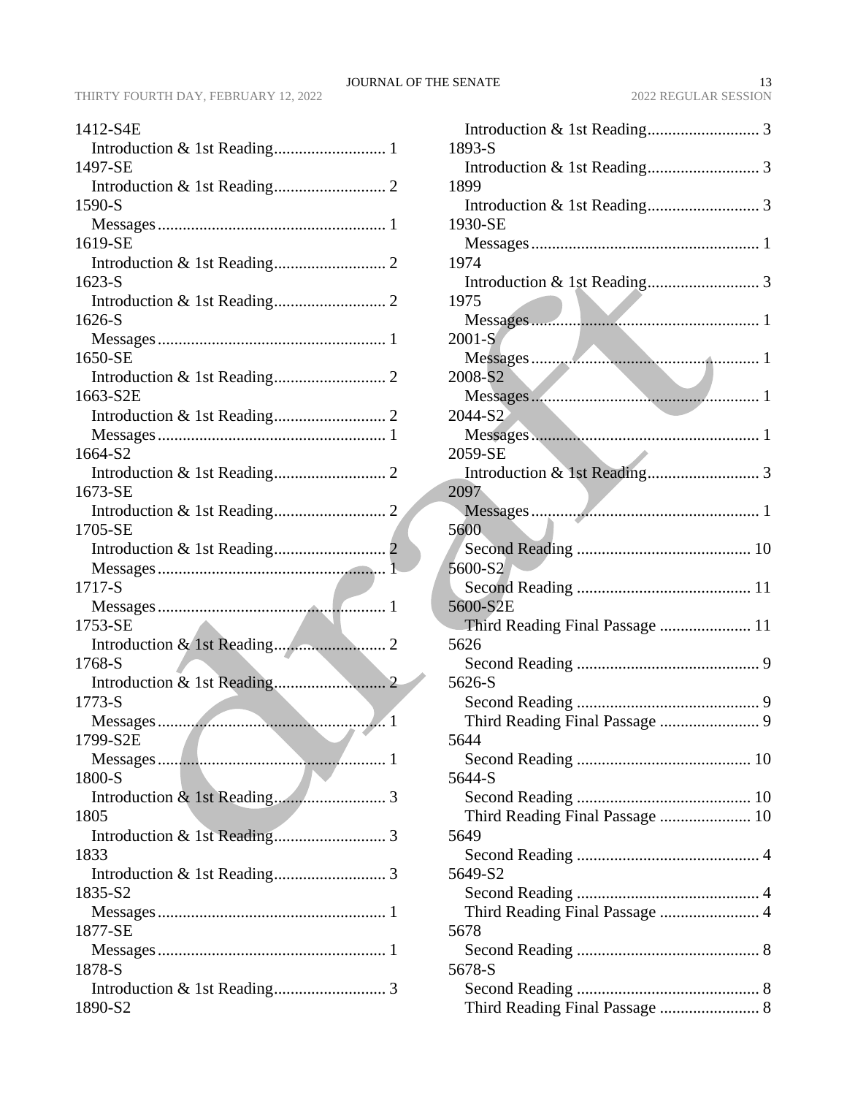| 1412-S4E                                   |
|--------------------------------------------|
|                                            |
| 1497-SE                                    |
|                                            |
| 1590-S                                     |
|                                            |
| 1619-SE                                    |
|                                            |
| 1623-S                                     |
|                                            |
| 1626-S                                     |
|                                            |
| 1650-SE                                    |
|                                            |
| 1663-S2E                                   |
|                                            |
|                                            |
| 1664-S2                                    |
|                                            |
| 1673-SE                                    |
|                                            |
| 1705-SE                                    |
|                                            |
|                                            |
|                                            |
| 1717-S                                     |
|                                            |
| 1753-SE                                    |
|                                            |
| 1768-S                                     |
|                                            |
| 1773-S                                     |
| <b>Contract Contract Contract Contract</b> |
| $1799-S2E$                                 |
|                                            |
| 1800-S                                     |
|                                            |
| 1805                                       |
|                                            |
| 1833                                       |
|                                            |
| 1835-S2                                    |
| 1877-SE                                    |
|                                            |
| 1878-S                                     |
|                                            |

| 393-S          |  |
|----------------|--|
|                |  |
| 399            |  |
|                |  |
| 930-SE         |  |
| $\blacksquare$ |  |

| 1893-S                          |
|---------------------------------|
|                                 |
| 1899                            |
|                                 |
| 1930-SE                         |
|                                 |
| 1974                            |
|                                 |
| 1975                            |
|                                 |
| 2001-S                          |
|                                 |
| 2008-S2                         |
|                                 |
| 2044-S2                         |
|                                 |
| 2059-SE                         |
|                                 |
| 2097                            |
|                                 |
| 5600                            |
|                                 |
| 5600-S2                         |
|                                 |
| 5600-S2E                        |
|                                 |
| Third Reading Final Passage  11 |
| 5626                            |
|                                 |
| 5626-S                          |
|                                 |
|                                 |
| 5644                            |
|                                 |
| 5644-S                          |
|                                 |
| Third Reading Final Passage  10 |
| 5649                            |
|                                 |
| 5649-S2                         |
|                                 |
|                                 |
| 5678                            |
|                                 |
| 5678-S                          |
|                                 |
| Third Reading Final Passage  8  |
|                                 |